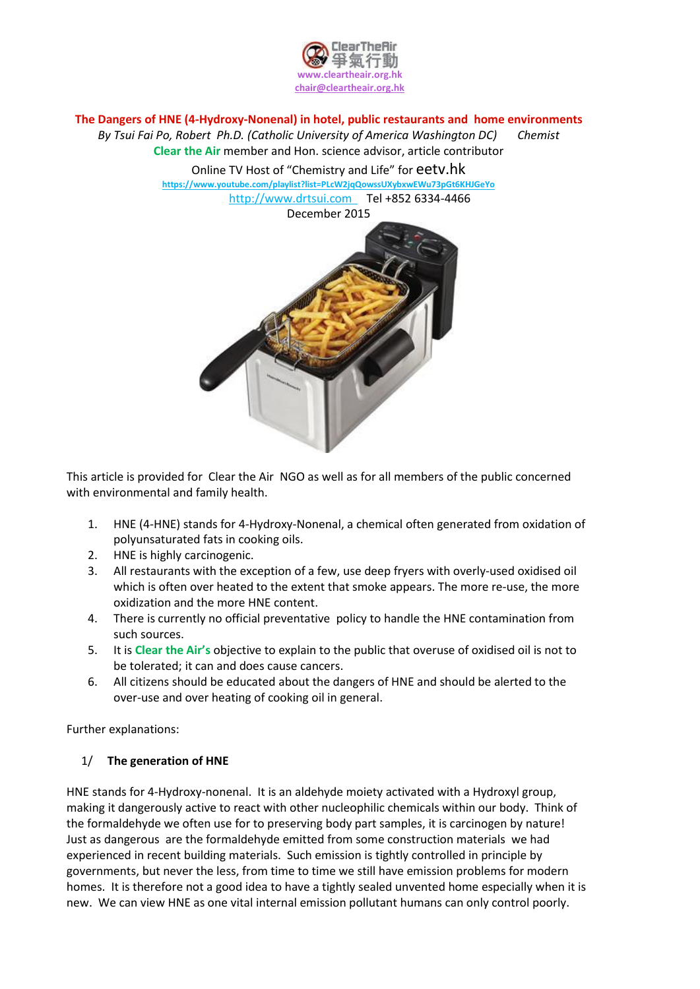

## **The Dangers of HNE (4-Hydroxy-Nonenal) in hotel, public restaurants and home environments**

*By Tsui Fai Po, Robert Ph.D. (Catholic University of America Washington DC) Chemist*

**Clear the Air** member and Hon. science advisor, article contributor

Online TV Host of "Chemistry and Life" for eetv.hk

**https://www.youtube.com/playlist?list=PLcW2jqQowssUXybxwEWu73pGt6KHJGeYo** http://www.drtsui.com Tel +852 6334-4466

December 2015



This article is provided for Clear the Air NGO as well as for all members of the public concerned with environmental and family health.

- 1. HNE (4-HNE) stands for 4-Hydroxy-Nonenal, a chemical often generated from oxidation of polyunsaturated fats in cooking oils.
- 2. HNE is highly carcinogenic.
- 3. All restaurants with the exception of a few, use deep fryers with overly-used oxidised oil which is often over heated to the extent that smoke appears. The more re-use, the more oxidization and the more HNE content.
- 4. There is currently no official preventative policy to handle the HNE contamination from such sources.
- 5. It is **Clear the Air's** objective to explain to the public that overuse of oxidised oil is not to be tolerated; it can and does cause cancers.
- 6. All citizens should be educated about the dangers of HNE and should be alerted to the over-use and over heating of cooking oil in general.

Further explanations:

# 1/ **The generation of HNE**

HNE stands for 4-Hydroxy-nonenal. It is an aldehyde moiety activated with a Hydroxyl group, making it dangerously active to react with other nucleophilic chemicals within our body. Think of the formaldehyde we often use for to preserving body part samples, it is carcinogen by nature! Just as dangerous are the formaldehyde emitted from some construction materials we had experienced in recent building materials. Such emission is tightly controlled in principle by governments, but never the less, from time to time we still have emission problems for modern homes. It is therefore not a good idea to have a tightly sealed unvented home especially when it is new. We can view HNE as one vital internal emission pollutant humans can only control poorly.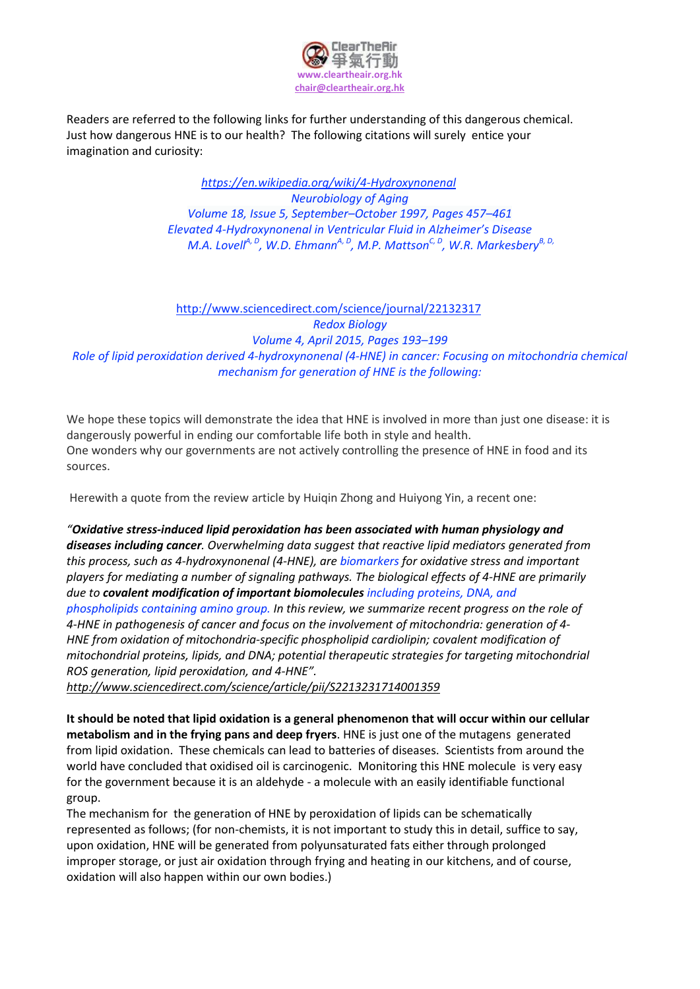

Readers are referred to the following links for further understanding of this dangerous chemical. Just how dangerous HNE is to our health? The following citations will surely entice your imagination and curiosity:

> *<https://en.wikipedia.org/wiki/4-Hydroxynonenal> [Neurobiology](http://www.sciencedirect.com/science/journal/01974580) of Aging [Volume](http://www.sciencedirect.com/science/journal/01974580/18/5) 18, Issue 5, September–October 1997, Pages 457–461 Elevated 4-Hydroxynonenal in Ventricular Fluid in Alzheimer's Disease M.A. LovellA, <sup>D</sup> , W.D. EhmannA, <sup>D</sup> , M.P. MattsonC, <sup>D</sup> , W.R. MarkesberyB, D,*

# http://www.sciencedirect.com/science/journal/22132317 *Redox [Biology](http://www.sciencedirect.com/science/journal/22132317) [Volume](http://www.sciencedirect.com/science/journal/22132317/4/supp/C) 4, April 2015, Pages 193–199 Role of lipid peroxidation derived 4-hydroxynonenal (4-HNE) in cancer: Focusing on mitochondria chemical mechanism for generation of HNE is the following:*

We hope these topics will demonstrate the idea that HNE is involved in more than just one disease: it is dangerously powerful in ending our comfortable life both in style and health. One wonders why our governments are not actively controlling the presence of HNE in food and its sources.

Herewith a quote from the review article by Huiqin Zhong and Huiyong Yin, a recent one:

*"Oxidative stress-induced lipid peroxidation has been associated with human physiology and diseases including cancer. Overwhelming data suggest that reactive lipid mediators generated from this process, such as 4-hydroxynonenal (4-HNE), are biomarkers for oxidative stress and important players for mediating a number of signaling pathways. The biological effects of 4-HNE are primarily due to covalent modification of important biomolecules including proteins, DNA, and phospholipids containing amino group. In this review, we summarize recent progress on the role of 4-HNE in pathogenesis of cancer and focus on the involvement of mitochondria: generation of 4- HNE from oxidation of mitochondria-specific phospholipid cardiolipin; covalent modification of mitochondrial proteins, lipids, and DNA; potential therapeutic strategies for targeting mitochondrial ROS generation, lipid peroxidation, and 4-HNE".*

*http://www.sciencedirect.com/science/article/pii/S2213231714001359*

**It should be noted that lipid oxidation is a general phenomenon that will occur within our cellular metabolism and in the frying pans and deep fryers**. HNE is just one of the mutagens generated from lipid oxidation. These chemicals can lead to batteries of diseases. Scientists from around the world have concluded that oxidised oil is carcinogenic. Monitoring this HNE molecule is very easy for the government because it is an aldehyde - a molecule with an easily identifiable functional group.

The mechanism for the generation of HNE by peroxidation of lipids can be schematically represented as follows; (for non-chemists, it is not important to study this in detail, suffice to say, upon oxidation, HNE will be generated from polyunsaturated fats either through prolonged improper storage, or just air oxidation through frying and heating in our kitchens, and of course, oxidation will also happen within our own bodies.)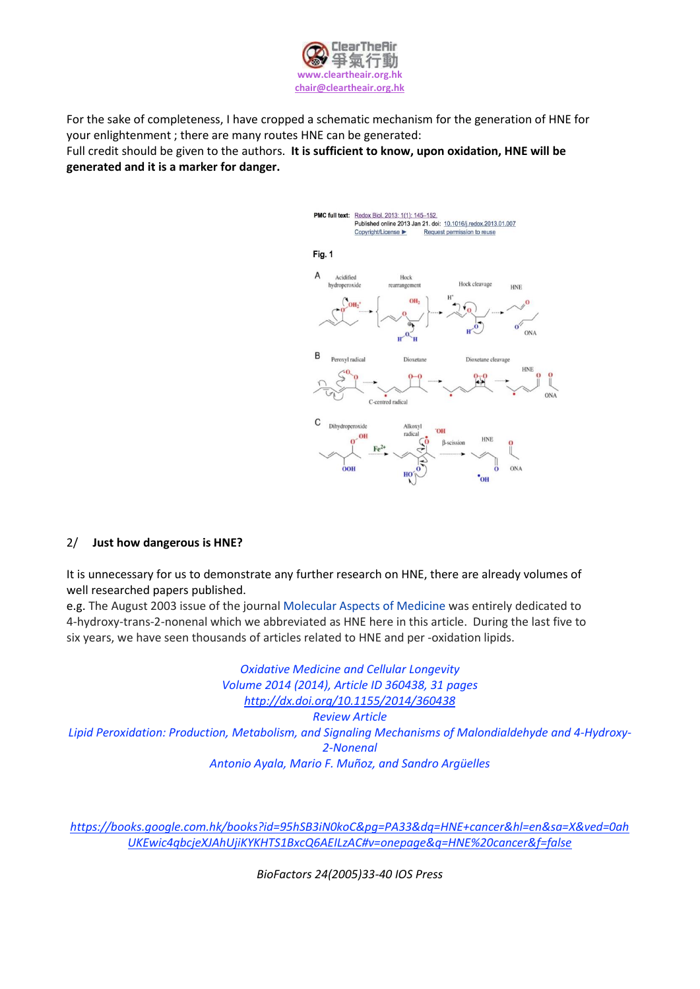

For the sake of completeness, I have cropped a schematic mechanism for the generation of HNE for your enlightenment ; there are many routes HNE can be generated: Full credit should be given to the authors. **It is sufficient to know, upon oxidation, HNE will be**

**generated and it is a marker for danger.**



## 2/ **Just how dangerous is HNE?**

It is unnecessary for us to demonstrate any further research on HNE, there are already volumes of well researched papers published.

e.g. The August 2003 issue of the journal [Molecular](https://en.wikipedia/) Aspects of Medicine was entirely dedicated to 4-hydroxy-trans-2-nonenal which we abbreviated as HNE here in this article. During the last five to six years, we have seen thousands of articles related to HNE and per -oxidation lipids.

*Oxidative Medicine and Cellular Longevity Volume 2014 (2014), Article ID 360438, 31 pages <http://dx.doi.org/10.1155/2014/360438> Review Article Lipid Peroxidation: Production, Metabolism, and Signaling Mechanisms of Malondialdehyde and 4-Hydroxy-2-Nonenal [Antonio](http://www.hindawi.com/73827153/) Ayala, Mario F. [Muñoz,](http://www.hindawi.com/63287372/) and Sandro [Argüelles](http://www.hindawi.com/30128409/)* 

*[https://books.google.com.hk/books?id=95hSB3iN0koC&pg=PA33&dq=HNE+cancer&hl=en&sa=X&ved=0ah](https://books.google.com.hk/books?id=95hSB3iN0koC&pg=PA33&dq=HNE+cancer&hl=en&sa=X&ved=0ahUKEwic4qbcjeXJAhUjiKYKHTS1BxcQ6AEILzAC#v=onepage&q=HNE%20cancer&f=false) [UKEwic4qbcjeXJAhUjiKYKHTS1BxcQ6AEILzAC#v=onepage&q=HNE%20cancer&f=false](https://books.google.com.hk/books?id=95hSB3iN0koC&pg=PA33&dq=HNE+cancer&hl=en&sa=X&ved=0ahUKEwic4qbcjeXJAhUjiKYKHTS1BxcQ6AEILzAC#v=onepage&q=HNE%20cancer&f=false)*

*BioFactors 24(2005)33-40 IOS Press*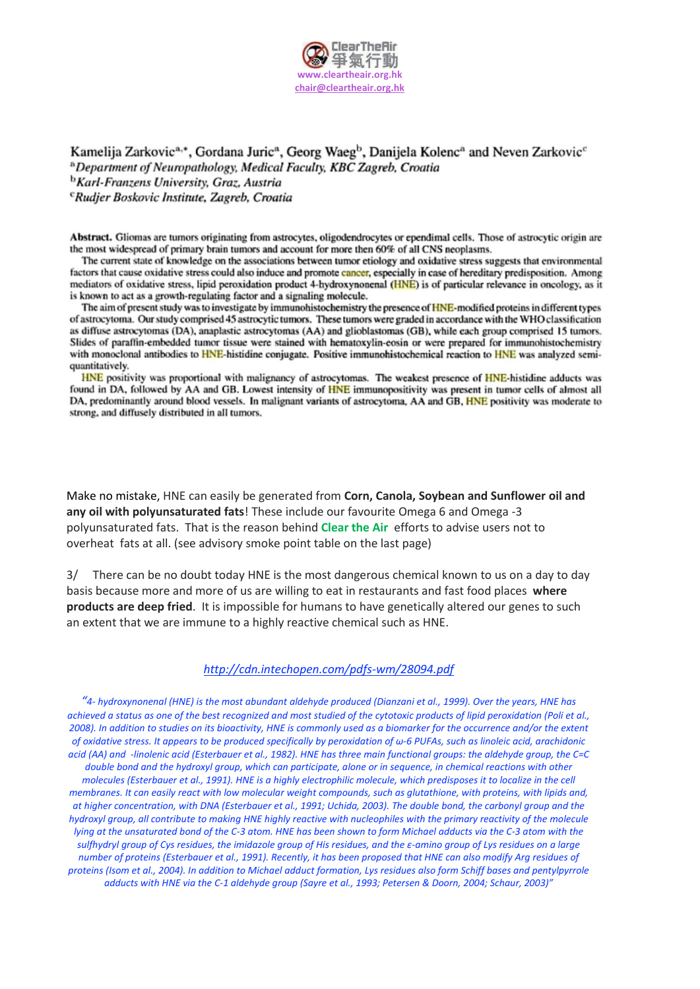

Kamelija Zarkovic<sup>a,\*</sup>, Gordana Juric<sup>a</sup>, Georg Waeg<sup>b</sup>, Danijela Kolenc<sup>a</sup> and Neven Zarkovic<sup>c</sup> <sup>a</sup> Department of Neuropathology, Medical Faculty, KBC Zagreb, Croatia <sup>b</sup>Karl-Franzens University, Graz, Austria <sup>c</sup>Rudjer Boskovic Institute, Zagreb, Croatia

Abstract. Gliomas are tumors originating from astrocytes, oligodendrocytes or ependimal cells. Those of astrocytic origin are the most widespread of primary brain tumors and account for more then 60% of all CNS neoplasms.

The current state of knowledge on the associations between tumor etiology and oxidative stress suggests that environmental factors that cause oxidative stress could also induce and promote cancer, especially in case of hereditary predisposition. Among mediators of oxidative stress, lipid peroxidation product 4-hydroxynonenal (HNE) is of particular relevance in oncology, as it is known to act as a growth-regulating factor and a signaling molecule.

The aim of present study was to investigate by immunohistochemistry the presence of HNE-modified proteins in different types of astrocytoma. Our study comprised 45 astrocytic tumors. These tumors were graded in accordance with the WHO classification as diffuse astrocytomas (DA), anaplastic astrocytomas (AA) and glioblastomas (GB), while each group comprised 15 tumors. Slides of paraffin-embedded tumor tissue were stained with hematoxylin-eosin or were prepared for immunohistochemistry with monoclonal antibodies to HNE-histidine conjugate. Positive immunohistochemical reaction to HNE was analyzed semiquantitatively.

HNE positivity was proportional with malignancy of astrocytomas. The weakest presence of HNE-histidine adducts was found in DA, followed by AA and GB. Lowest intensity of HNE immunopositivity was present in tumor cells of almost all DA, predominantly around blood vessels. In malignant variants of astrocytoma, AA and GB, HNE positivity was moderate to strong, and diffusely distributed in all tumors.

Make no mistake, HNE can easily be generated from **Corn, Canola, Soybean and Sunflower oil and any oil with polyunsaturated fats**! These include our favourite Omega 6 and Omega -3 polyunsaturated fats. That is the reason behind **Clear the Air** efforts to advise users not to overheat fats at all. (see advisory smoke point table on the last page)

3/ There can be no doubt today HNE is the most dangerous chemical known to us on a day to day basis because more and more of us are willing to eat in restaurants and fast food places **where products are deep fried**. It is impossible for humans to have genetically altered our genes to such an extent that we are immune to a highly reactive chemical such as HNE.

#### *<http://cdn.intechopen.com/pdfs-wm/28094.pdf>*

"4- hydroxynonenal (HNE) is the most abundant aldehyde produced (Dianzani et al., 1999). Over the years, HNE has achieved a status as one of the best recoanized and most studied of the cytotoxic products of lipid peroxidation (Poli et al., 2008). In addition to studies on its bioactivity, HNE is commonly used as a biomarker for the occurrence and/or the extent of oxidative stress. It appears to be produced specifically by peroxidation of  $\omega$ -6 PUFAs, such as linoleic acid, arachidonic acid (AA) and -linolenic acid (Esterbauer et al., 1982). HNE has three main functional groups: the aldehyde group, the C=C double bond and the hydroxyl group, which can participate, alone or in sequence, in chemical reactions with other molecules (Esterbauer et al., 1991). HNE is a highly electrophilic molecule, which predisposes it to localize in the cell membranes. It can easily react with low molecular weight compounds, such as glutathione, with proteins, with lipids and, at higher concentration, with DNA (Esterbauer et al., 1991; Uchida, 2003). The double bond, the carbonyl group and the hydroxyl group, all contribute to making HNE highly reactive with nucleophiles with the primary reactivity of the molecule lying at the unsaturated bond of the C-3 atom. HNE has been shown to form Michael adducts via the C-3 atom with the sulfhydryl group of Cys residues, the imidazole group of His residues, and the  $\varepsilon$ -amino group of Lys residues on a large number of proteins (Esterbauer et al., 1991). Recently, it has been proposed that HNE can also modify Ara residues of proteins (Isom et al., 2004). In addition to Michael adduct formation, Lys residues also form Schiff bases and pentylpyrrole adducts with HNE via the C-1 aldehyde group (Sayre et al., 1993; Petersen & Doorn, 2004; Schaur, 2003)"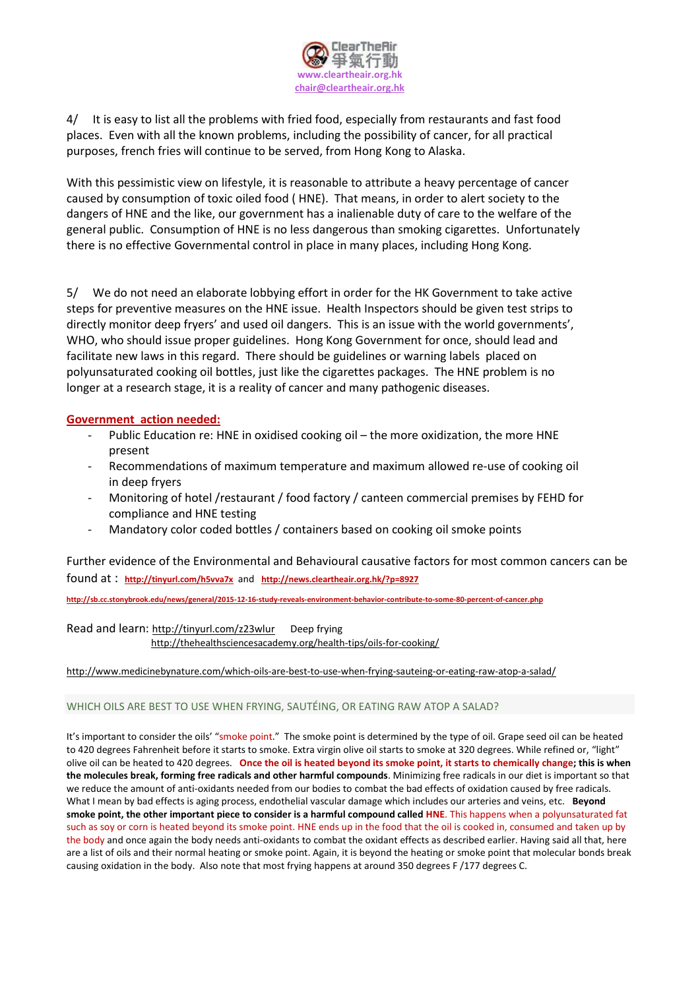

4/ It is easy to list all the problems with fried food, especially from restaurants and fast food places. Even with all the known problems, including the possibility of cancer, for all practical purposes, french fries will continue to be served, from Hong Kong to Alaska.

With this pessimistic view on lifestyle, it is reasonable to attribute a heavy percentage of cancer caused by consumption of toxic oiled food ( HNE). That means, in order to alert society to the dangers of HNE and the like, our government has a inalienable duty of care to the welfare of the general public. Consumption of HNE is no less dangerous than smoking cigarettes. Unfortunately there is no effective Governmental control in place in many places, including Hong Kong.

5/ We do not need an elaborate lobbying effort in order for the HK Government to take active steps for preventive measures on the HNE issue. Health Inspectors should be given test strips to directly monitor deep fryers' and used oil dangers. This is an issue with the world governments', WHO, who should issue proper guidelines. Hong Kong Government for once, should lead and facilitate new laws in this regard. There should be guidelines or warning labels placed on polyunsaturated cooking oil bottles, just like the cigarettes packages. The HNE problem is no longer at a research stage, it is a reality of cancer and many pathogenic diseases.

## **Government action needed:**

- Public Education re: HNE in oxidised cooking oil the more oxidization, the more HNE present
- Recommendations of maximum temperature and maximum allowed re-use of cooking oil in deep fryers
- Monitoring of hotel /restaurant / food factory / canteen commercial premises by FEHD for compliance and HNE testing
- Mandatory color coded bottles / containers based on cooking oil smoke points

Further evidence of the Environmental and Behavioural causative factors for most common cancers can be found at : **<http://tinyurl.com/h5vva7x>** and **http://news.cleartheair.org.hk/?p=8927**

**http://sb.cc.stonybrook.edu/news/general/2015-12-16-study-reveals-environment-behavior-contribute-to-some-80-percent-of-cancer.php**

Read and learn: http://tinyurl.com/z23wlur Deep frying

http://thehealthsciencesacademy.org/health-tips/oils-for-cooking/

### http://www.medicinebynature.com/which-oils-are-best-to-use-when-frying-sauteing-or-eating-raw-atop-a-salad/

### WHICH OILS ARE BEST TO USE WHEN FRYING, SAUTÉING, OR EATING RAW ATOP A SALAD?

It's important to consider the oils' "smoke point." The smoke point is determined by the type of oil. Grape seed oil can be heated to 420 degrees Fahrenheit before it starts to smoke. Extra virgin olive oil starts to smoke at 320 degrees. While refined or, "light" olive oil can be heated to 420 degrees. **Once the oil is heated beyond its smoke point, it starts to chemically change; this is when the molecules break, forming free radicals and other harmful compounds**. Minimizing free radicals in our diet is important so that we reduce the amount of anti-oxidants needed from our bodies to combat the bad effects of oxidation caused by free radicals. What I mean by bad effects is aging process, endothelial vascular damage which includes our arteries and veins, etc. **Beyond smoke point, the other important piece to consider is a harmful compound called HNE**. This happens when a polyunsaturated fat such as soy or corn is heated beyond its smoke point. HNE ends up in the food that the oil is cooked in, consumed and taken up by the body and once again the body needs anti-oxidants to combat the oxidant effects as described earlier. Having said all that, here are a list of oils and their normal heating or smoke point. Again, it is beyond the heating or smoke point that molecular bonds break causing oxidation in the body. Also note that most frying happens at around 350 degrees F /177 degrees C.